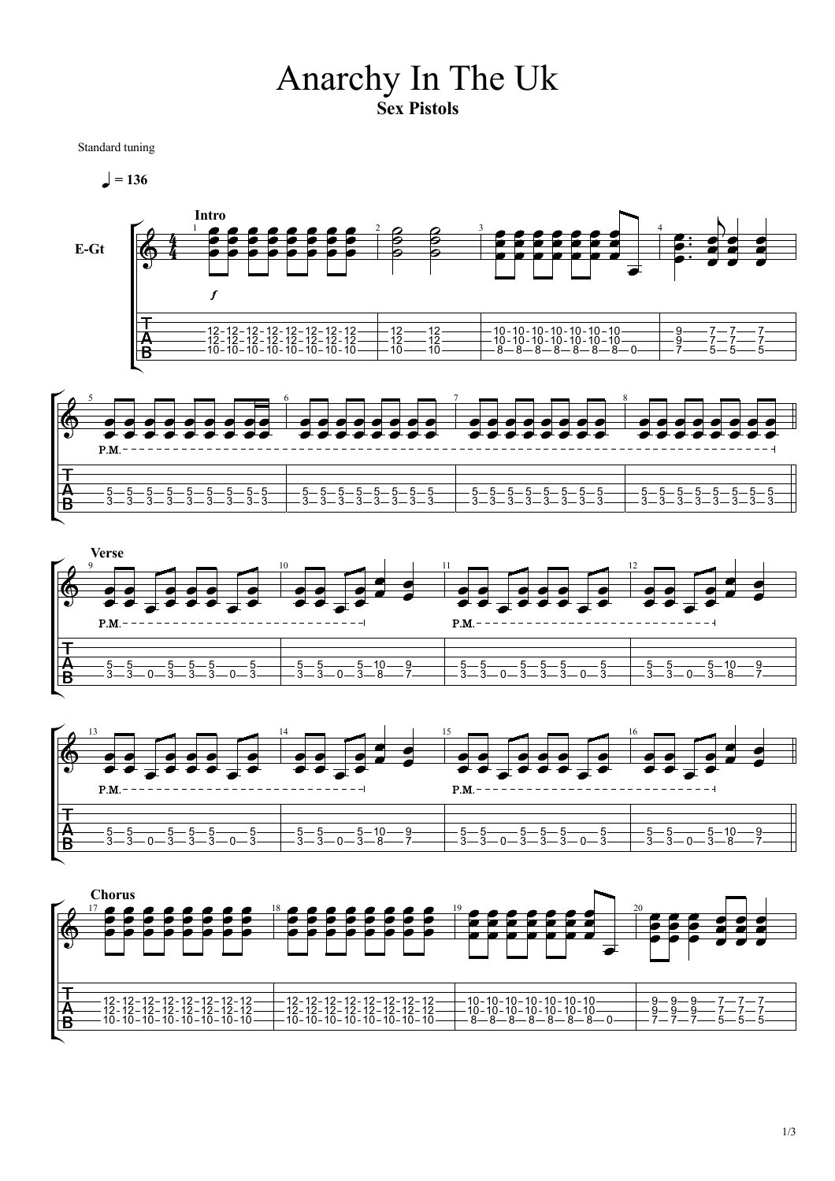## Anarchy In The Uk Sex Pistols

Standard tuning

 $= 136$ 









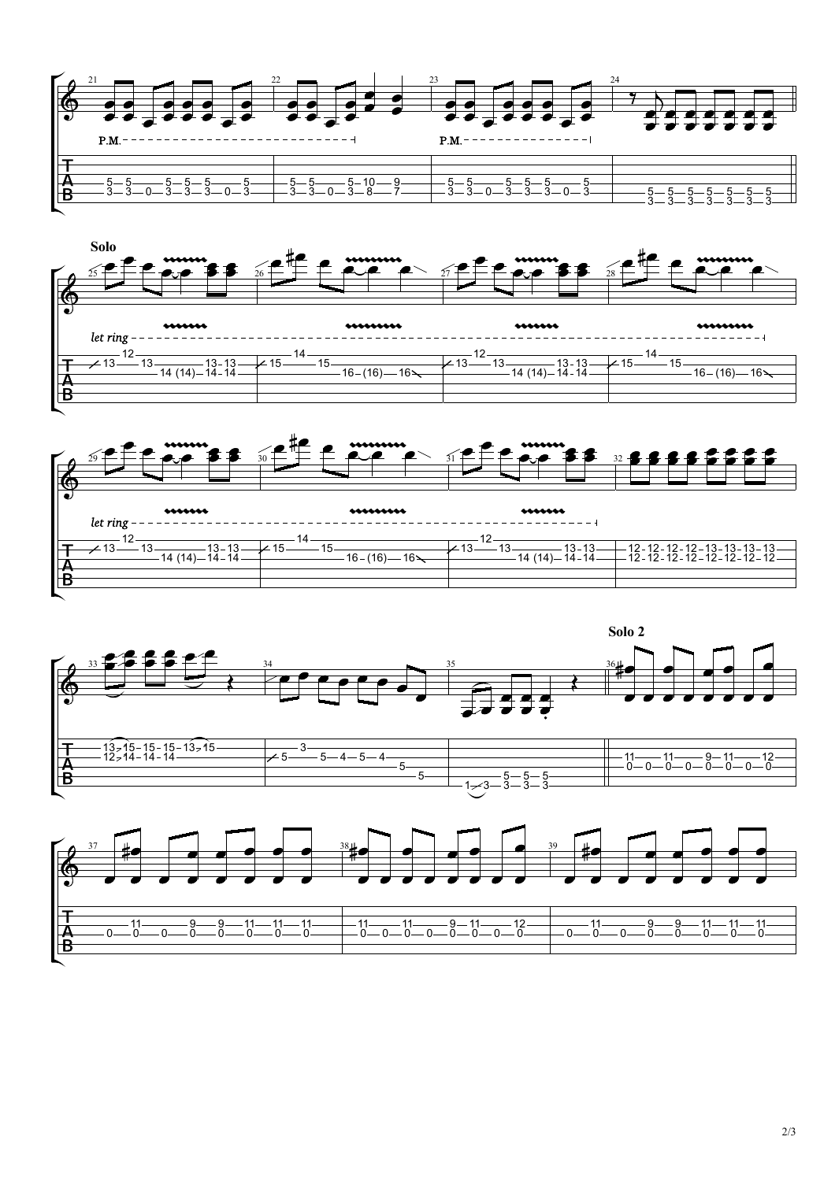







 $3 - 3$  —  $\qquad$  —  $\qquad$  —  $\qquad$  —  $\qquad$  —  $\qquad$  —  $\qquad$  —  $\qquad$  —  $\qquad$  —  $\qquad$  —  $\qquad$  —  $\qquad$  —  $\qquad$   $\qquad$   $\qquad$   $\qquad$   $\qquad$   $\qquad$   $\qquad$   $\qquad$   $\qquad$   $\qquad$   $\qquad$   $\qquad$   $\qquad$   $\qquad$   $\qquad$   $\qquad$   $\qquad$   $\qquad$   $\qquad$   $\qquad$   $\qquad$  5 3<sup>-</sup>